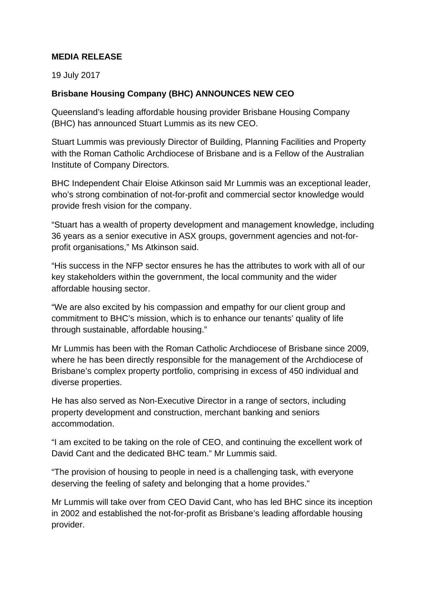## **MEDIA RELEASE**

19 July 2017

## **Brisbane Housing Company (BHC) ANNOUNCES NEW CEO**

Queensland's leading affordable housing provider Brisbane Housing Company (BHC) has announced Stuart Lummis as its new CEO.

Stuart Lummis was previously Director of Building, Planning Facilities and Property with the Roman Catholic Archdiocese of Brisbane and is a Fellow of the Australian Institute of Company Directors.

BHC Independent Chair Eloise Atkinson said Mr Lummis was an exceptional leader, who's strong combination of not-for-profit and commercial sector knowledge would provide fresh vision for the company.

"Stuart has a wealth of property development and management knowledge, including 36 years as a senior executive in ASX groups, government agencies and not-forprofit organisations," Ms Atkinson said.

"His success in the NFP sector ensures he has the attributes to work with all of our key stakeholders within the government, the local community and the wider affordable housing sector.

"We are also excited by his compassion and empathy for our client group and commitment to BHC's mission, which is to enhance our tenants' quality of life through sustainable, affordable housing."

Mr Lummis has been with the Roman Catholic Archdiocese of Brisbane since 2009, where he has been directly responsible for the management of the Archdiocese of Brisbane's complex property portfolio, comprising in excess of 450 individual and diverse properties.

He has also served as Non-Executive Director in a range of sectors, including property development and construction, merchant banking and seniors accommodation.

"I am excited to be taking on the role of CEO, and continuing the excellent work of David Cant and the dedicated BHC team." Mr Lummis said.

"The provision of housing to people in need is a challenging task, with everyone deserving the feeling of safety and belonging that a home provides."

Mr Lummis will take over from CEO David Cant, who has led BHC since its inception in 2002 and established the not-for-profit as Brisbane's leading affordable housing provider.